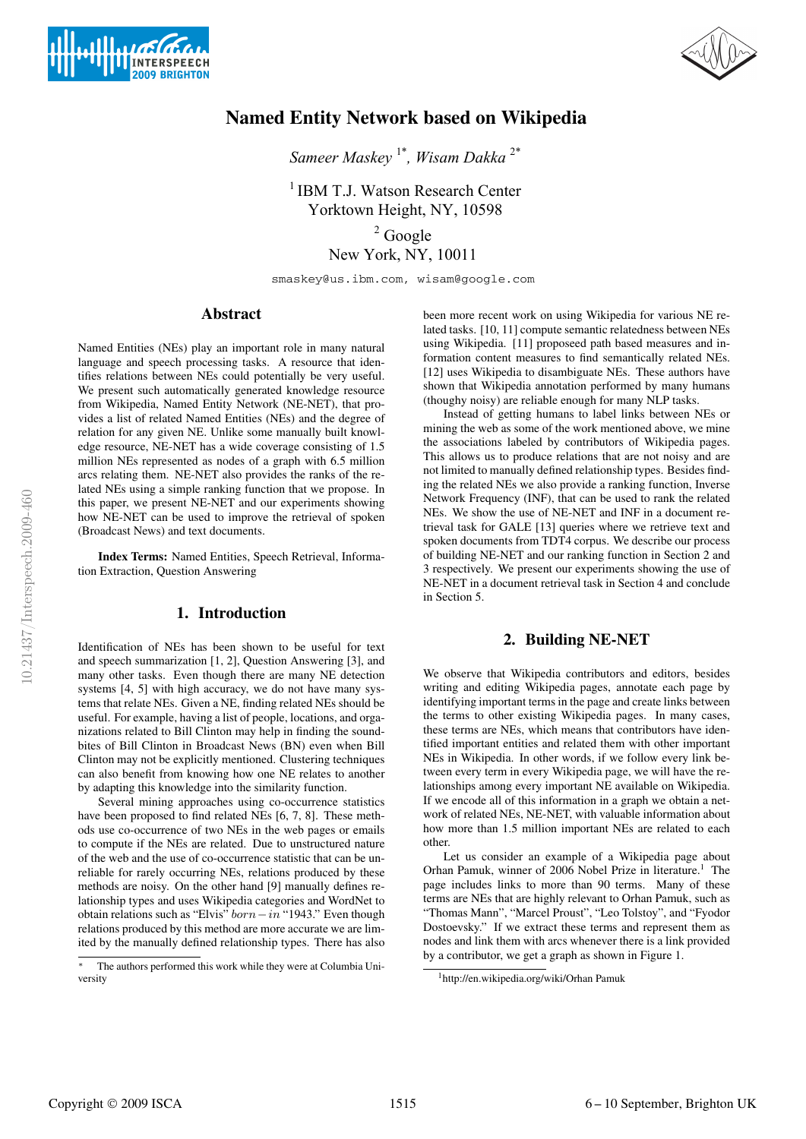



# Named Entity Network based on Wikipedia

*Sameer Maskey* 1\**, Wisam Dakka* 2\*

<sup>1</sup> IBM T.J. Watson Research Center Yorktown Height, NY, 10598  $2 \text{ Google}$ New York, NY, 10011

smaskey@us.ibm.com, wisam@google.com

## Abstract

Named Entities (NEs) play an important role in many natural language and speech processing tasks. A resource that identifies relations between NEs could potentially be very useful. We present such automatically generated knowledge resource from Wikipedia, Named Entity Network (NE-NET), that provides a list of related Named Entities (NEs) and the degree of relation for any given NE. Unlike some manually built knowledge resource, NE-NET has a wide coverage consisting of 1.5 million NEs represented as nodes of a graph with 6.5 million arcs relating them. NE-NET also provides the ranks of the related NEs using a simple ranking function that we propose. In this paper, we present NE-NET and our experiments showing how NE-NET can be used to improve the retrieval of spoken (Broadcast News) and text documents.

Index Terms: Named Entities, Speech Retrieval, Information Extraction, Question Answering

# 1. Introduction

Identification of NEs has been shown to be useful for text and speech summarization [1, 2], Question Answering [3], and many other tasks. Even though there are many NE detection systems [4, 5] with high accuracy, we do not have many systems that relate NEs. Given a NE, finding related NEs should be useful. For example, having a list of people, locations, and organizations related to Bill Clinton may help in finding the soundbites of Bill Clinton in Broadcast News (BN) even when Bill Clinton may not be explicitly mentioned. Clustering techniques can also benefit from knowing how one NE relates to another by adapting this knowledge into the similarity function.

Several mining approaches using co-occurrence statistics have been proposed to find related NEs [6, 7, 8]. These methods use co-occurrence of two NEs in the web pages or emails to compute if the NEs are related. Due to unstructured nature of the web and the use of co-occurrence statistic that can be unreliable for rarely occurring NEs, relations produced by these methods are noisy. On the other hand [9] manually defines relationship types and uses Wikipedia categories and WordNet to obtain relations such as "Elvis"  $born-in$  "1943." Even though relations produced by this method are more accurate we are limited by the manually defined relationship types. There has also been more recent work on using Wikipedia for various NE related tasks. [10, 11] compute semantic relatedness between NEs using Wikipedia. [11] proposeed path based measures and information content measures to find semantically related NEs. [12] uses Wikipedia to disambiguate NEs. These authors have shown that Wikipedia annotation performed by many humans (thoughy noisy) are reliable enough for many NLP tasks.

Instead of getting humans to label links between NEs or mining the web as some of the work mentioned above, we mine the associations labeled by contributors of Wikipedia pages. This allows us to produce relations that are not noisy and are not limited to manually defined relationship types. Besides finding the related NEs we also provide a ranking function, Inverse Network Frequency (INF), that can be used to rank the related NEs. We show the use of NE-NET and INF in a document retrieval task for GALE [13] queries where we retrieve text and spoken documents from TDT4 corpus. We describe our process of building NE-NET and our ranking function in Section 2 and 3 respectively. We present our experiments showing the use of NE-NET in a document retrieval task in Section 4 and conclude in Section 5.

#### 2. Building NE-NET

We observe that Wikipedia contributors and editors, besides writing and editing Wikipedia pages, annotate each page by identifying important terms in the page and create links between the terms to other existing Wikipedia pages. In many cases, these terms are NEs, which means that contributors have identified important entities and related them with other important NEs in Wikipedia. In other words, if we follow every link between every term in every Wikipedia page, we will have the relationships among every important NE available on Wikipedia. If we encode all of this information in a graph we obtain a network of related NEs, NE-NET, with valuable information about how more than 1.5 million important NEs are related to each other.

Let us consider an example of a Wikipedia page about Orhan Pamuk, winner of 2006 Nobel Prize in literature.<sup>1</sup> The page includes links to more than 90 terms. Many of these terms are NEs that are highly relevant to Orhan Pamuk, such as "Thomas Mann", "Marcel Proust", "Leo Tolstoy", and "Fyodor Dostoevsky." If we extract these terms and represent them as nodes and link them with arcs whenever there is a link provided by a contributor, we get a graph as shown in Figure 1.

The authors performed this work while they were at Columbia University

<sup>1</sup>http://en.wikipedia.org/wiki/Orhan Pamuk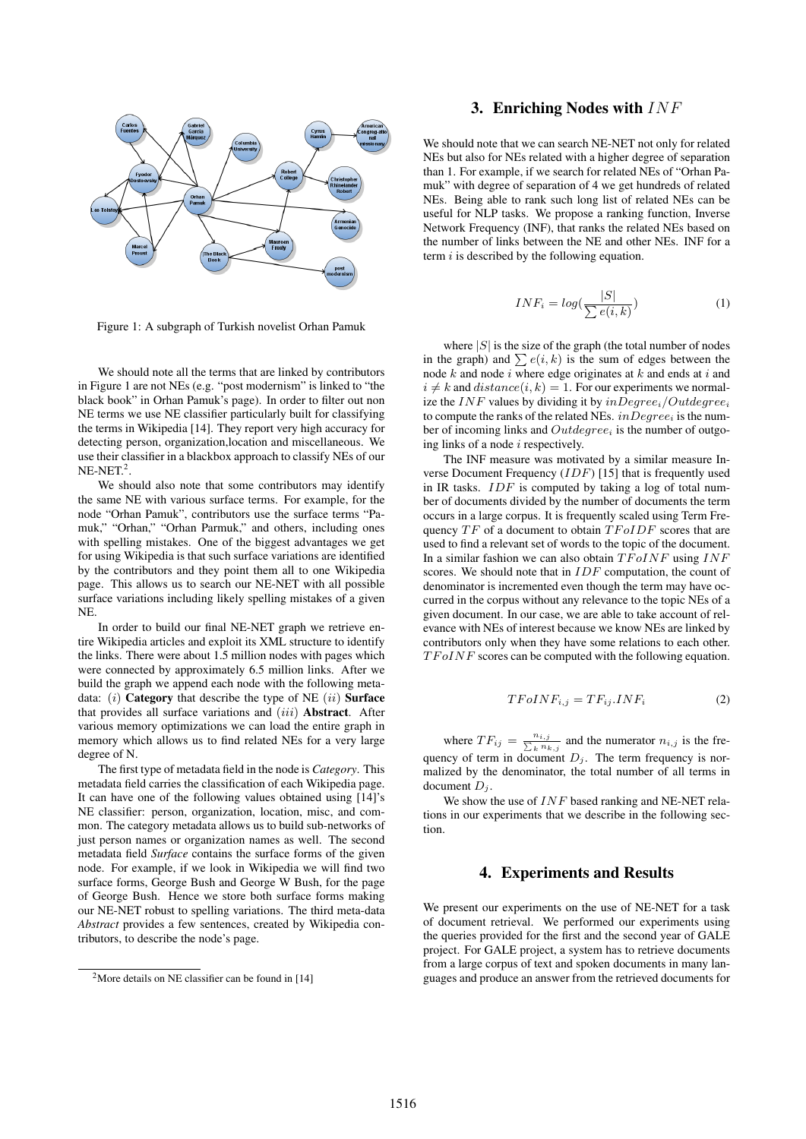

Figure 1: A subgraph of Turkish novelist Orhan Pamuk

We should note all the terms that are linked by contributors in Figure 1 are not NEs (e.g. "post modernism" is linked to "the black book" in Orhan Pamuk's page). In order to filter out non NE terms we use NE classifier particularly built for classifying the terms in Wikipedia [14]. They report very high accuracy for detecting person, organization,location and miscellaneous. We use their classifier in a blackbox approach to classify NEs of our  $NE-NET.<sup>2</sup>$ .

We should also note that some contributors may identify the same NE with various surface terms. For example, for the node "Orhan Pamuk", contributors use the surface terms "Pamuk," "Orhan," "Orhan Parmuk," and others, including ones with spelling mistakes. One of the biggest advantages we get for using Wikipedia is that such surface variations are identified by the contributors and they point them all to one Wikipedia page. This allows us to search our NE-NET with all possible surface variations including likely spelling mistakes of a given NE.

In order to build our final NE-NET graph we retrieve entire Wikipedia articles and exploit its XML structure to identify the links. There were about 1.5 million nodes with pages which were connected by approximately 6.5 million links. After we build the graph we append each node with the following metadata:  $(i)$  Category that describe the type of NE  $(ii)$  Surface that provides all surface variations and  $(iii)$  **Abstract**. After various memory optimizations we can load the entire graph in memory which allows us to find related NEs for a very large degree of N.

The first type of metadata field in the node is *Category*. This metadata field carries the classification of each Wikipedia page. It can have one of the following values obtained using [14]'s NE classifier: person, organization, location, misc, and common. The category metadata allows us to build sub-networks of just person names or organization names as well. The second metadata field *Surface* contains the surface forms of the given node. For example, if we look in Wikipedia we will find two surface forms, George Bush and George W Bush, for the page of George Bush. Hence we store both surface forms making our NE-NET robust to spelling variations. The third meta-data *Abstract* provides a few sentences, created by Wikipedia contributors, to describe the node's page.

## 3. Enriching Nodes with INF

We should note that we can search NE-NET not only for related NEs but also for NEs related with a higher degree of separation than 1. For example, if we search for related NEs of "Orhan Pamuk" with degree of separation of 4 we get hundreds of related NEs. Being able to rank such long list of related NEs can be useful for NLP tasks. We propose a ranking function, Inverse Network Frequency (INF), that ranks the related NEs based on the number of links between the NE and other NEs. INF for a term  $i$  is described by the following equation.

$$
INF_i = log(\frac{|S|}{\sum e(i,k)})
$$
\n(1)

where  $|S|$  is the size of the graph (the total number of nodes in the graph) and  $\sum e(i, k)$  is the sum of edges between the node  $k$  and node  $i$  where edge originates at  $k$  and ends at  $i$  and  $i \neq k$  and  $distance(i, k) = 1$ . For our experiments we normalize the INF values by dividing it by  $inDegree_i/Outdegree_i$ to compute the ranks of the related NEs.  $inDegree_i$  is the number of incoming links and  $Outdegree_i$  is the number of outgoing links of a node  $i$  respectively.

The INF measure was motivated by a similar measure Inverse Document Frequency (IDF) [15] that is frequently used in IR tasks. IDF is computed by taking a log of total number of documents divided by the number of documents the term occurs in a large corpus. It is frequently scaled using Term Frequency  $TF$  of a document to obtain  $TFoIDF$  scores that are used to find a relevant set of words to the topic of the document. In a similar fashion we can also obtain  $TFoINF$  using  $INF$ scores. We should note that in *IDF* computation, the count of denominator is incremented even though the term may have occurred in the corpus without any relevance to the topic NEs of a given document. In our case, we are able to take account of relevance with NEs of interest because we know NEs are linked by contributors only when they have some relations to each other.  $TFoINF$  scores can be computed with the following equation.

$$
TFoINF_{i,j} = TF_{ij}.INF_i \tag{2}
$$

where  $TF_{ij} = \frac{n_{i,j}}{\sum_{k} n_{ij}}$  $\frac{n_{i,j}}{k}$  and the numerator  $n_{i,j}$  is the frequency of term in document  $D_j$ . The term frequency is normalized by the denominator, the total number of all terms in document  $D_i$ .

We show the use of  $INF$  based ranking and NE-NET relations in our experiments that we describe in the following section.

#### 4. Experiments and Results

We present our experiments on the use of NE-NET for a task of document retrieval. We performed our experiments using the queries provided for the first and the second year of GALE project. For GALE project, a system has to retrieve documents from a large corpus of text and spoken documents in many languages and produce an answer from the retrieved documents for

<sup>&</sup>lt;sup>2</sup>More details on NE classifier can be found in  $[14]$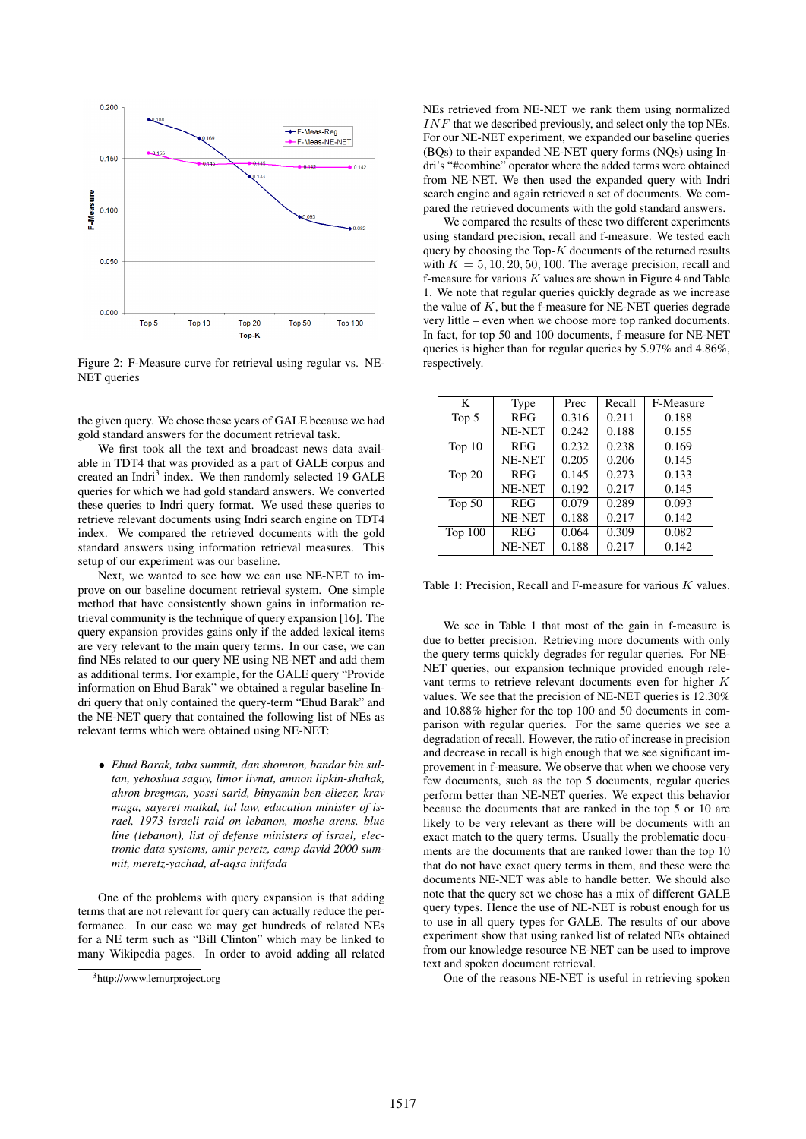

Figure 2: F-Measure curve for retrieval using regular vs. NE-NET queries

the given query. We chose these years of GALE because we had gold standard answers for the document retrieval task.

We first took all the text and broadcast news data available in TDT4 that was provided as a part of GALE corpus and created an Indri<sup>3</sup> index. We then randomly selected 19 GALE queries for which we had gold standard answers. We converted these queries to Indri query format. We used these queries to retrieve relevant documents using Indri search engine on TDT4 index. We compared the retrieved documents with the gold standard answers using information retrieval measures. This setup of our experiment was our baseline.

Next, we wanted to see how we can use NE-NET to improve on our baseline document retrieval system. One simple method that have consistently shown gains in information retrieval community is the technique of query expansion [16]. The query expansion provides gains only if the added lexical items are very relevant to the main query terms. In our case, we can find NEs related to our query NE using NE-NET and add them as additional terms. For example, for the GALE query "Provide information on Ehud Barak" we obtained a regular baseline Indri query that only contained the query-term "Ehud Barak" and the NE-NET query that contained the following list of NEs as relevant terms which were obtained using NE-NET:

• *Ehud Barak, taba summit, dan shomron, bandar bin sultan, yehoshua saguy, limor livnat, amnon lipkin-shahak, ahron bregman, yossi sarid, binyamin ben-eliezer, krav maga, sayeret matkal, tal law, education minister of israel, 1973 israeli raid on lebanon, moshe arens, blue line (lebanon), list of defense ministers of israel, electronic data systems, amir peretz, camp david 2000 summit, meretz-yachad, al-aqsa intifada*

One of the problems with query expansion is that adding terms that are not relevant for query can actually reduce the performance. In our case we may get hundreds of related NEs for a NE term such as "Bill Clinton" which may be linked to many Wikipedia pages. In order to avoid adding all related NEs retrieved from NE-NET we rank them using normalized  $INF$  that we described previously, and select only the top NEs. For our NE-NET experiment, we expanded our baseline queries (BQs) to their expanded NE-NET query forms (NQs) using Indri's "#combine" operator where the added terms were obtained from NE-NET. We then used the expanded query with Indri search engine and again retrieved a set of documents. We compared the retrieved documents with the gold standard answers.

We compared the results of these two different experiments using standard precision, recall and f-measure. We tested each query by choosing the Top- $K$  documents of the returned results with  $K = 5, 10, 20, 50, 100$ . The average precision, recall and f-measure for various  $K$  values are shown in Figure 4 and Table 1. We note that regular queries quickly degrade as we increase the value of  $K$ , but the f-measure for NE-NET queries degrade very little – even when we choose more top ranked documents. In fact, for top 50 and 100 documents, f-measure for NE-NET queries is higher than for regular queries by 5.97% and 4.86%, respectively.

| K         | Type       | Prec  | Recall | F-Measure |
|-----------|------------|-------|--------|-----------|
| Top 5     | <b>REG</b> | 0.316 | 0.211  | 0.188     |
|           | NE-NET     | 0.242 | 0.188  | 0.155     |
| Top $10$  | <b>REG</b> | 0.232 | 0.238  | 0.169     |
|           | NE-NET     | 0.205 | 0.206  | 0.145     |
| Top $20$  | <b>REG</b> | 0.145 | 0.273  | 0.133     |
|           | NE-NET     | 0.192 | 0.217  | 0.145     |
| Top $50$  | <b>REG</b> | 0.079 | 0.289  | 0.093     |
|           | NE-NET     | 0.188 | 0.217  | 0.142     |
| Top $100$ | <b>REG</b> | 0.064 | 0.309  | 0.082     |
|           | NE-NET     | 0.188 | 0.217  | 0.142     |

Table 1: Precision, Recall and F-measure for various K values.

We see in Table 1 that most of the gain in f-measure is due to better precision. Retrieving more documents with only the query terms quickly degrades for regular queries. For NE-NET queries, our expansion technique provided enough relevant terms to retrieve relevant documents even for higher K values. We see that the precision of NE-NET queries is 12.30% and 10.88% higher for the top 100 and 50 documents in comparison with regular queries. For the same queries we see a degradation of recall. However, the ratio of increase in precision and decrease in recall is high enough that we see significant improvement in f-measure. We observe that when we choose very few documents, such as the top 5 documents, regular queries perform better than NE-NET queries. We expect this behavior because the documents that are ranked in the top 5 or 10 are likely to be very relevant as there will be documents with an exact match to the query terms. Usually the problematic documents are the documents that are ranked lower than the top 10 that do not have exact query terms in them, and these were the documents NE-NET was able to handle better. We should also note that the query set we chose has a mix of different GALE query types. Hence the use of NE-NET is robust enough for us to use in all query types for GALE. The results of our above experiment show that using ranked list of related NEs obtained from our knowledge resource NE-NET can be used to improve text and spoken document retrieval.

One of the reasons NE-NET is useful in retrieving spoken

<sup>3</sup>http://www.lemurproject.org